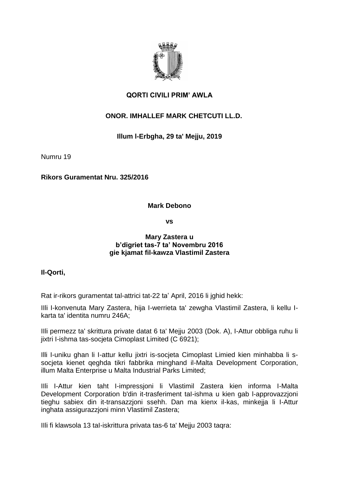

# **QORTI CIVILI PRIM' AWLA**

# **ONOR. IMHALLEF MARK CHETCUTI LL.D.**

# **Illum l-Erbgha, 29 ta' Mejju, 2019**

Numru 19

**Rikors Guramentat Nru. 325/2016**

### **Mark Debono**

**vs**

### **Mary Zastera u b'digriet tas-7 ta' Novembru 2016 gie kjamat fil-kawza Vlastimil Zastera**

### **Il-Qorti,**

Rat ir-rikors guramentat tal-attrici tat-22 ta' April, 2016 li jghid hekk:

IIli I-konvenuta Mary Zastera, hija I-werrieta ta' zewgha Vlastimil Zastera, li kellu Ikarta ta' identita numru 246A;

IIli permezz ta' skrittura private datat 6 ta' Mejju 2003 (Dok. A), I-Attur obbliga ruhu li jixtri I-ishma tas-socjeta Cimoplast Limited (C 6921);

Illi I-uniku ghan li I-attur kellu jixtri is-socjeta Cimoplast Limied kien minhabba li ssocjeta kienet qeghda tikri fabbrika minghand il-Malta Development Corporation, illum Malta Enterprise u Malta Industrial Parks Limited;

IIli I-Attur kien taht I-impressjoni li Vlastimil Zastera kien informa I-Malta Development Corporation b'din it-trasferiment taI-ishma u kien gab l-approvazzjoni tieghu sabiex din it-transazzjoni ssehh. Dan ma kienx il-kas, minkejja li I-Attur inghata assigurazzjoni minn Vlastimil Zastera;

IIli fi klawsola 13 taI-iskrittura privata tas-6 ta' Mejju 2003 taqra: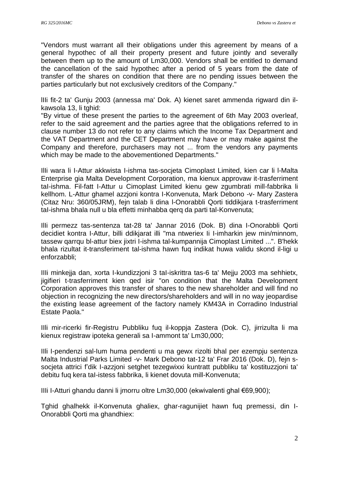"Vendors must warrant all their obligations under this agreement by means of a general hypothec of all their property present and future jointly and severally between them up to the amount of Lm30,000. Vendors shall be entitled to demand the cancellation of the said hypothec after a period of 5 years from the date of transfer of the shares on condition that there are no pending issues between the parties particularly but not exclusively creditors of the Company."

lIIi fit-2 ta' Gunju 2003 (annessa ma' Dok. A) kienet saret ammenda rigward din ilkawsola 13, li tghid:

"By virtue of these present the parties to the agreement of 6th May 2003 overleaf, refer to the said agreement and the parties agree that the obligations referred to in clause number 13 do not refer to any claims which the Income Tax Department and the VAT Department and the CET Department may have or may make against the Company and therefore, purchasers may not ... from the vendors any payments which may be made to the abovementioned Departments."

IlIi wara li I-Attur akkwista I-ishma tas-socjeta Cimoplast Limited, kien car li l-Malta Enterprise gia Malta Development Corporation, ma kienux approvaw it-trasferriment taI-ishma. Fil-fatt I-Attur u Cimoplast Limited kienu gew zgumbrati mill-fabbrika li kellhom. L-Attur ghamel azzjoni kontra I-Konvenuta, Mark Debono -v- Mary Zastera (Citaz Nru: 360/05JRM), fejn talab li dina l-Onorabbli Qorti tiddikjara t-trasferriment taI-ishma bhala null u bla effetti minhabba qerq da parti tal-Konvenuta;

IlIi permezz tas-sentenza tat-28 ta' Jannar 2016 (Dok. B) dina I-Onorabbli Qorti decidiet kontra I-Attur, billi ddikjarat illi "ma ntweriex Ii I-imharkin jew min/minnom, tassew qarrqu bl-attur biex jixtri I-ishma tal-kumpannija Cimoplast Limited ...". B'hekk bhala rizultat it-transferiment tal-ishma hawn fuq indikat huwa validu skond il-ligi u enforzabbli;

IIIi minkejja dan, xorta I-kundizzjoni 3 taI-iskrittra tas-6 ta' Mejju 2003 ma sehhietx, jigifieri t-trasferriment kien qed isir "on condition that the Malta Development Corporation approves this transfer of shares to the new shareholder and will find no objection in recognizing the new directors/shareholders and will in no way jeopardise the existing lease agreement of the factory namely KM43A in Corradino Industrial Estate Paola."

IIli mir-ricerki fir-Registru Pubbliku fuq il-koppja Zastera (Dok. C), jirrizulta li ma kienux registraw ipoteka generali sa I-ammont ta' Lm30,000;

IIli I-pendenzi sal-Ium huma pendenti u ma gewx rizolti bhal per ezempju sentenza Malta Industrial Parks Limited -v- Mark Debono tat-12 ta' Frar 2016 (Dok. D), fejn ssocjeta attrici f'dik I-azzjoni setghet tezegwixxi kuntratt pubbliku ta' kostituzzjoni ta' debitu fuq kera taI-istess fabbrika, li kienet dovuta mill-Konvenuta;

IIIi I-Atturi ghandu danni li jmorru oltre Lm30,000 (ekwivalenti ghal €69,900);

Tghid ghalhekk il-Konvenuta ghaliex, ghar-ragunijiet hawn fuq premessi, din I-Onorabbli Qorti ma ghandhiex: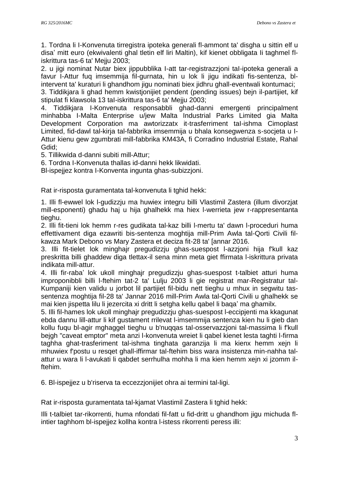1. Tordna li I-Konvenuta tirregistra ipoteka generali fl-ammont ta' disgha u sittin elf u disa' mitt euro (ekwivalenti ghal tletin elf liri Maltin), kif kienet obbligata Ii taghmel fliskrittura tas-6 ta' Mejju 2003;

2. u jigi nominat Nutar biex jippubblika I-att tar-registrazzjoni taI-ipoteka generali a favur I-Attur fuq imsemmija fil-gurnata, hin u lok li jigu indikati fis-sentenza, blintervent ta' kuraturi li ghandhom jigu nominati biex jidhru ghall-eventwali kontumaci;

3. Tiddikjara li ghad hemm kwistjonijiet pendent (pending issues) bejn il-partijiet, kif stipulat fi klawsola 13 taI-iskrittura tas-6 ta' Mejju 2003;

4. Tiddikjara I-Konvenuta responsabbli ghad-danni emergenti principalment minhabba I-Malta Enterprise u/jew Malta Industrial Parks Limited gia Malta Development Corporation ma awtorizzatx it-trasferriment taI-ishma Cimoplast Limited, fid-dawl tal-kirja tal-fabbrika imsemmija u bhala konsegwenza s-socjeta u I-Attur kienu gew zgumbrati mill-fabbrika KM43A, fi Corradino Industrial Estate, Rahal Gdid;

5. Tillikwida d-danni subiti mill-Attur;

6. Tordna I-Konvenuta thallas id-danni hekk likwidati.

Bl-ispejjez kontra I-Konventa ingunta ghas-subizzjoni.

Rat ir-risposta guramentata tal-konvenuta li tghid hekk:

1. Illi fl-ewwel lok l-gudizzju ma huwiex integru billi Vlastimil Zastera (illum divorzjat mill-esponenti) ghadu haj u hija ghalhekk ma hiex l-werrieta jew r-rappresentanta tieghu.

2. Illi fit-tieni lok hemm r-res gudikata tal-kaz billi l-mertu ta' dawn l-proceduri huma effettivament diga ezawriti bis-sentenza moghtija mill-Prim Awla tal-Qorti Civili filkawza Mark Debono vs Mary Zastera et deciza fit-28 ta' [annar 2016.

3. Illi fit-tielet lok minghajr pregudizzju ghas-suespost l-azzjoni hija f'kull kaz preskritta billi ghaddew diga tlettax-il sena minn meta giet ffirmata l-iskrittura privata indikata mill-attur.

4. Illi fir-raba' lok ukoll minghajr pregudizzju ghas-suespost t-talbiet atturi huma improponibbli billi l-ftehim tat-2 ta' Lulju 2003 li gie registrat mar-Registratur tal-Kumpaniji kien validu u jorbot lil partijiet fil-bidu nett tieghu u mhux in segwitu tassentenza moghtija fil-28 ta' Jannar 2016 mill-Prim Awla tal-Qorti Civili u ghalhekk se mai kien jispetta lilu li jezercita xi dritt li setgha kellu qabel li baqa' ma ghamilx.

5. Illi fil-hames lok ukoll minghajr pregudizzju ghas-suespost l-eccipjenti ma kkagunat ebda dannu lill-attur li kif gustament rrilevat l-imsemmija sentenza kien hu li gieb dan kollu fuqu bl-agir mghaggel tieghu u b'nuqqas tal-osservazzjoni tal-massima li f'kull bejgh "caveat emptor" meta anzi l-konvenuta wreiet li qabel kienet lesta taghti l-firma taghha ghat-trasferiment tal-ishma tinghata garanzija li ma kienx hemm xejn li mhuwiex f'postu u resqet ghall-iffirmar tal-ftehim biss wara insistenza min-nahha talattur u wara li l-avukati li qabdet serrhulha mohha li ma kien hemm xejn xi jzomm ilftehim.

6. Bl-ispejjez u b'riserva ta eccezzjonijiet ohra ai termini tal-ligi.

Rat ir-risposta guramentata tal-kjamat Vlastimil Zastera li tghid hekk:

Illi t-talbiet tar-rikorrenti, huma nfondati fil-fatt u fid-dritt u ghandhom jigu michuda flintier taghhom bl-ispejjez kollha kontra l-istess rikorrenti peress illi: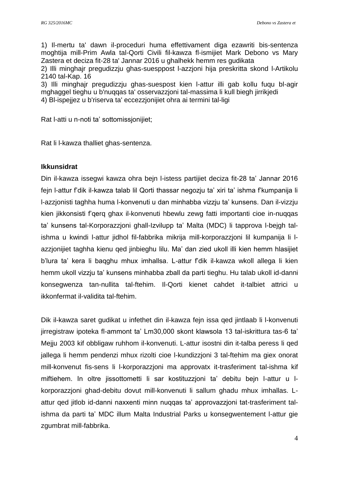1) Il-mertu ta' dawn il-proceduri huma effettivament diga ezawriti bis-sentenza moghtija mill-Prim Awla tal-Qorti Civili fil-kawza fl-ismijiet Mark Debono vs Mary Zastera et deciza fit-28 ta' Jannar 2016 u ghalhekk hemm res gudikata

2) Illi minghajr pregudizzju ghas-suesppost l-azzjoni hija preskritta skond l-Artikolu 2140 tal-Kap. 16

3) Illi minghajr pregudizzju ghas-suespost kien l-attur illi gab kollu fuqu bl-agir mghaggel tieghu u b'nuqqas ta' osservazzjoni tal-massima li kull biegh jirrikjedi 4) Bl-ispejjez u b'riserva ta' eccezzjonijiet ohra ai termini tal-ligi

Rat l-atti u n-noti ta' sottomissjonijiet;

Rat li l-kawza thalliet ghas-sentenza.

#### **Ikkunsidrat**

Din il-kawza issegwi kawza ohra bejn l-istess partijiet deciza fit-28 ta' Jannar 2016 fejn l-attur f'dik il-kawza talab lil Qorti thassar negozju ta' xiri ta' ishma f'kumpanija li l-azzjonisti taghha huma l-konvenuti u dan minhabba vizzju ta' kunsens. Dan il-vizzju kien jikkonsisti f'qerq ghax il-konvenuti hbewlu zewg fatti importanti cioe in-nuqqas ta' kunsens tal-Korporazzjoni ghall-Izvilupp ta' Malta (MDC) li tapprova l-bejgh talishma u kwindi l-attur jidhol fil-fabbrika mikrija mill-korporazzjoni lil kumpanija li lazzjonijiet taghha kienu qed jinbieghu lilu. Ma' dan zied ukoll illi kien hemm hlasijiet b'lura ta' kera li baqghu mhux imhallsa. L-attur f'dik il-kawza wkoll allega li kien hemm ukoll vizzju ta' kunsens minhabba zball da parti tieghu. Hu talab ukoll id-danni konsegwenza tan-nullita tal-ftehim. Il-Qorti kienet cahdet it-talbiet attrici u ikkonfermat il-validita tal-ftehim.

Dik il-kawza saret gudikat u infethet din il-kawza fejn issa qed jintlaab li l-konvenuti jirregistraw ipoteka fl-ammont ta' Lm30,000 skont klawsola 13 tal-iskrittura tas-6 ta' Mejju 2003 kif obbligaw ruhhom il-konvenuti. L-attur isostni din it-talba peress li qed jallega li hemm pendenzi mhux rizolti cioe l-kundizzjoni 3 tal-ftehim ma giex onorat mill-konvenut fis-sens li l-korporazzjoni ma approvatx it-trasferiment tal-ishma kif miftiehem. In oltre jissottometti li sar kostituzzjoni ta' debitu bejn l-attur u lkorporazzjoni ghad-debitu dovut mill-konvenuti li sallum ghadu mhux imhallas. Lattur qed jitlob id-danni naxxenti minn nuqqas ta' approvazzjoni tat-trasferiment talishma da parti ta' MDC illum Malta Industrial Parks u konsegwentement l-attur gie zgumbrat mill-fabbrika.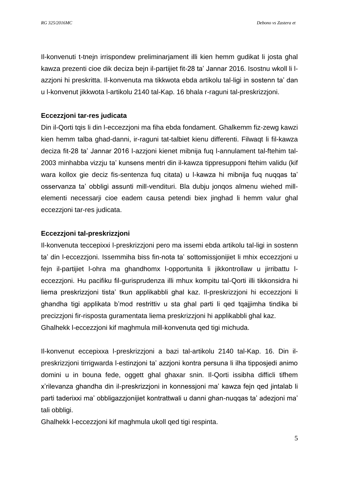Il-konvenuti t-tnejn irrispondew preliminarjament illi kien hemm gudikat li josta ghal kawza prezenti cioe dik deciza bejn il-partijiet fit-28 ta' Jannar 2016. Isostnu wkoll li lazzjoni hi preskritta. Il-konvenuta ma tikkwota ebda artikolu tal-ligi in sostenn ta' dan u l-konvenut jikkwota l-artikolu 2140 tal-Kap. 16 bhala r-raguni tal-preskrizzjoni.

## **Eccezzjoni tar-res judicata**

Din il-Qorti tqis li din l-eccezzjoni ma fiha ebda fondament. Ghalkemm fiz-zewg kawzi kien hemm talba ghad-danni, ir-raguni tat-talbiet kienu differenti. Filwaqt li fil-kawza deciza fit-28 ta' Jannar 2016 l-azzjoni kienet mibnija fuq l-annulament tal-ftehim tal-2003 minhabba vizzju ta' kunsens mentri din il-kawza tippresupponi ftehim validu (kif wara kollox gie deciz fis-sentenza fuq citata) u l-kawza hi mibnija fuq nuqqas ta' osservanza ta' obbligi assunti mill-vendituri. Bla dubju jonqos almenu wiehed millelementi necessarji cioe eadem causa petendi biex jinghad li hemm valur ghal eccezzjoni tar-res judicata.

### **Eccezzjoni tal-preskrizzjoni**

Il-konvenuta teccepixxi l-preskrizzjoni pero ma issemi ebda artikolu tal-ligi in sostenn ta' din l-eccezzjoni. Issemmiha biss fin-nota ta' sottomissjonijiet li mhix eccezzjoni u fejn il-partijiet l-ohra ma ghandhomx l-opportunita li jikkontrollaw u jirribattu leccezzjoni. Hu pacifiku fil-gurisprudenza illi mhux kompitu tal-Qorti illi tikkonsidra hi liema preskrizzjoni tista' tkun applikabbli ghal kaz. Il-preskrizzjoni hi eccezzjoni li ghandha tigi applikata b'mod restrittiv u sta ghal parti li qed tqajjimha tindika bi precizzjoni fir-risposta guramentata liema preskrizzjoni hi applikabbli ghal kaz. Ghalhekk l-eccezzjoni kif maghmula mill-konvenuta qed tigi michuda.

Il-konvenut eccepixxa l-preskrizzjoni a bazi tal-artikolu 2140 tal-Kap. 16. Din ilpreskrizzjoni tirrigwarda l-estinzjoni ta' azzjoni kontra persuna li ilha tipposjedi animo domini u in bouna fede, oggett ghal ghaxar snin. Il-Qorti issibha difficli tifhem x'rilevanza ghandha din il-preskrizzjoni in konnessjoni ma' kawza fejn qed jintalab li parti taderixxi ma' obbligazzjonijiet kontrattwali u danni ghan-nuqqas ta' adezjoni ma' tali obbligi.

Ghalhekk l-eccezzjoni kif maghmula ukoll qed tigi respinta.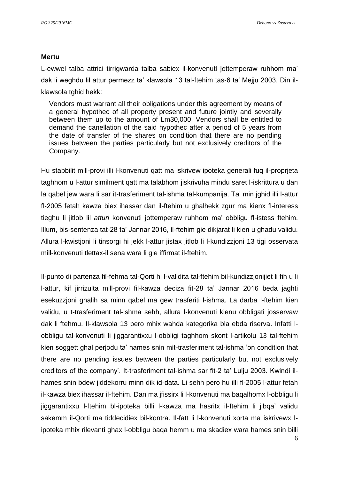#### **Mertu**

L-ewwel talba attrici tirrigwarda talba sabiex il-konvenuti jottemperaw ruhhom ma' dak li weghdu lil attur permezz ta' klawsola 13 tal-ftehim tas-6 ta' Mejju 2003. Din ilklawsola tghid hekk:

Vendors must warrant all their obligations under this agreement by means of a general hypothec of all property present and future jointly and severally between them up to the amount of Lm30,000. Vendors shall be entitled to demand the canellation of the said hypothec after a period of 5 years from the date of transfer of the shares on condition that there are no pending issues between the parties particularly but not exclusively creditors of the Company.

Hu stabbilit mill-provi illi l-konvenuti qatt ma iskrivew ipoteka generali fuq il-proprjeta taghhom u l-attur similment qatt ma talabhom jiskrivuha mindu saret l-iskrittura u dan la qabel jew wara li sar it-trasferiment tal-ishma tal-kumpanija. Ta' min jghid illi l-attur fl-2005 fetah kawza biex ihassar dan il-ftehim u ghalhekk zgur ma kienx fl-interess tieghu li jitlob lil *atturi* konvenuti jottemperaw ruhhom ma' obbligu fl-istess ftehim. Illum, bis-sentenza tat-28 ta' Jannar 2016, il-ftehim gie dikjarat li kien u ghadu validu. Allura l-kwistjoni li tinsorgi hi jekk l-attur jistax jitlob li l-kundizzjoni 13 tigi osservata mill-konvenuti tlettax-il sena wara li gie iffirmat il-ftehim.

Il-punto di partenza fil-fehma tal-Qorti hi l-validita tal-ftehim bil-kundizzjonijiet li fih u li l-attur, kif jirrizulta mill-provi fil-kawza deciza fit-28 ta' Jannar 2016 beda jaghti esekuzzjoni ghalih sa minn qabel ma gew trasferiti l-ishma. La darba l-ftehim kien validu, u t-trasferiment tal-ishma sehh, allura l-konvenuti kienu obbligati josservaw dak li ftehmu. Il-klawsola 13 pero mhix wahda kategorika bla ebda riserva. Infatti lobbligu tal-konvenuti li jiggarantixxu l-obbligi taghhom skont l-artikolu 13 tal-ftehim kien soggett ghal perjodu ta' hames snin mit-trasferiment tal-ishma 'on condition that there are no pending issues between the parties particularly but not exclusively creditors of the company'. It-trasferiment tal-ishma sar fit-2 ta' Lulju 2003. Kwindi ilhames snin bdew jiddekorru minn dik id-data. Li sehh pero hu illi fl-2005 l-attur fetah il-kawza biex ihassar il-ftehim. Dan ma jfissirx li l-konvenuti ma baqalhomx l-obbligu li jiggarantixxu l-ftehim bl-ipoteka billi l-kawza ma hasritx il-ftehim li jibqa' validu sakemm il-Qorti ma tiddecidiex bil-kontra. Il-fatt li l-konvenuti xorta ma iskrivewx lipoteka mhix rilevanti ghax l-obbligu baqa hemm u ma skadiex wara hames snin billi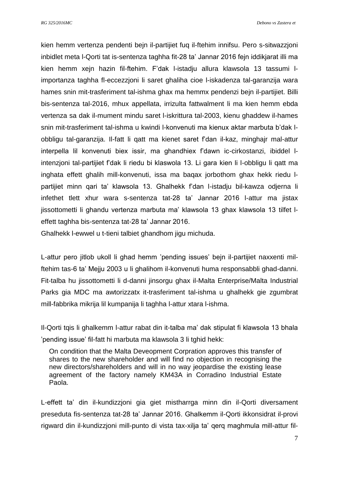*RG 325/2016MC Debono vs Zastera et*

kien hemm vertenza pendenti bejn il-partijiet fuq il-ftehim innifsu. Pero s-sitwazzjoni inbidlet meta l-Qorti tat is-sentenza taghha fit-28 ta' Jannar 2016 fejn iddikjarat illi ma kien hemm xejn hazin fil-ftehim. F'dak l-istadju allura klawsola 13 tassumi limportanza taghha fl-eccezzjoni li saret ghaliha cioe l-iskadenza tal-garanzija wara hames snin mit-trasferiment tal-ishma ghax ma hemmx pendenzi bejn il-partijiet. Billi bis-sentenza tal-2016, mhux appellata, irrizulta fattwalment li ma kien hemm ebda vertenza sa dak il-mument mindu saret l-iskrittura tal-2003, kienu ghaddew il-hames snin mit-trasferiment tal-ishma u kwindi l-konvenuti ma kienux aktar marbuta b'dak lobbligu tal-garanzija. Il-fatt li qatt ma kienet saret f'dan il-kaz, minghajr mal-attur interpella lil konvenuti biex issir, ma ghandhiex f'dawn ic-cirkostanzi, ibiddel lintenzjoni tal-partijiet f'dak li riedu bi klaswola 13. Li gara kien li l-obbligu li qatt ma inghata effett ghalih mill-konvenuti, issa ma baqax jorbothom ghax hekk riedu lpartijiet minn qari ta' klawsola 13. Ghalhekk f'dan l-istadju bil-kawza odjerna li infethet tlett xhur wara s-sentenza tat-28 ta' Jannar 2016 l-attur ma jistax jissottometti li ghandu vertenza marbuta ma' klawsola 13 ghax klawsola 13 tilfet leffett taghha bis-sentenza tat-28 ta' Jannar 2016.

Ghalhekk l-ewwel u t-tieni talbiet ghandhom jigu michuda.

L-attur pero jitlob ukoll li ghad hemm 'pending issues' bejn il-partijiet naxxenti milftehim tas-6 ta' Mejju 2003 u li ghalihom il-konvenuti huma responsabbli ghad-danni. Fit-talba hu jissottometti li d-danni jinsorgu ghax il-Malta Enterprise/Malta Industrial Parks gia MDC ma awtorizzatx it-trasferiment tal-ishma u ghalhekk gie zgumbrat mill-fabbrika mikrija lil kumpanija li taghha l-attur xtara l-ishma.

Il-Qorti tqis li ghalkemm l-attur rabat din it-talba ma' dak stipulat fi klawsola 13 bhala 'pending issue' fil-fatt hi marbuta ma klawsola 3 li tghid hekk:

On condition that the Malta Deveopment Corpration approves this transfer of shares to the new shareholder and will find no objection in recognising the new directors/shareholders and will in no way jeopardise the existing lease agreement of the factory namely KM43A in Corradino Industrial Estate Paola.

L-effett ta' din il-kundizzjoni gia giet mistharrga minn din il-Qorti diversament preseduta fis-sentenza tat-28 ta' Jannar 2016. Ghalkemm il-Qorti ikkonsidrat il-provi rigward din il-kundizzjoni mill-punto di vista tax-xilja ta' qerq maghmula mill-attur fil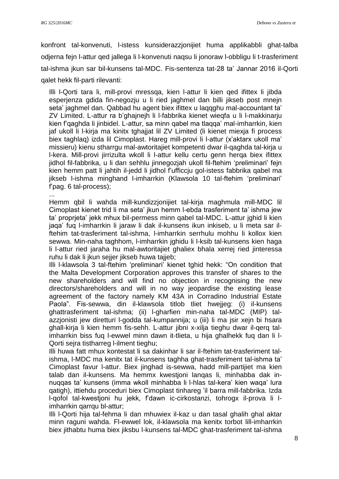...

konfront tal-konvenuti, l-istess kunsiderazzjonijiet huma applikabbli ghat-talba odjerna fejn l-attur qed jallega li l-konvenuti naqsu li jonoraw l-obbligu li t-trasferiment tal-ishma jkun sar bil-kunsens tal-MDC. Fis-sentenza tat-28 ta' Jannar 2016 il-Qorti qalet hekk fil-parti rilevanti:

Illi l-Qorti tara li, mill-provi mressqa, kien l-attur li kien qed ifittex li jibda esperjenza gdida fin-negozju u li ried jaghmel dan billi jikseb post mnejn seta' jaghmel dan. Qabbad hu agent biex ifittex u laqqghu mal-accountant ta' ZV Limited. L-attur ra b'ghajnejh li l-fabbrika kienet wieqfa u li l-makkinarju kien f'qaghda li jinbidel. L-attur, sa minn qabel ma tlaqqa' mal-imharrkin, kien jaf ukoll li l-kirja ma kinitx tghajjat lil ZV Limited (li kienet miexja fi process biex taghlaq) izda lil Cimoplast. Hareg mill-provi li l-attur (x'aktarx ukoll ma' missieru) kienu stharrgu mal-awtoritajiet kompetenti dwar il-qaghda tal-kirja u l-kera. Mill-provi jirrizulta wkoll li l-attur kellu certu genn herqa biex ifittex jidhol fil-fabbrika, u li dan sehhlu jinnegozjah ukoll fil-ftehim 'preliminari' fejn kien hemm patt li jahtih il-jedd li jidhol f'ufficcju gol-istess fabbrika qabel ma jikseb l-ishma minghand l-imharrkin (Klawsola 10 tal-ftehim 'preliminari' f'pag. 6 tal-process);

Hemm qbil li wahda mill-kundizzjonijiet tal-kirja maghmula mill-MDC lil Cimoplast kienet trid li ma seta' jkun hemm l-ebda trasferiment ta' ishma jew ta' proprjeta' jekk mhux bil-permess minn qabel tal-MDC. L-attur jghid li kien jaqa' fuq l-imharrkin li jaraw li dak il-kunsens ikun inkiseb, u li meta sar ilftehim tat-trasferiment tal-ishma, l-imharrkin serrhulu mohhu li kollox kien sewwa. Min-naha taghhom, l-imharrkin jghidu li l-ksib tal-kunsens kien haga li l-attur ried jaraha hu mal-awtoritajiet ghaliex bhala xerrej ried jinteressa ruhu li dak li jkun sejjer jikseb huwa tajjeb;

Illi l-klawsola 3 tal-ftehim 'preliminari' kienet tghid hekk: "On condition that the Malta Development Corporation approves this transfer of shares to the new shareholders and will find no objection in recognising the new directors/shareholders and will in no way jeopardise the existing lease agreement of the factory namely KM 43A in Corradino Industrial Estate Paola". Fis-sewwa, din il-klawsola titlob tliet hwejjeg: (i) il-kunsens ghattrasferiment tal-ishma; (ii) l-gharfien min-naha tal-MDC (MIP) talazzjonisti jew diretturi l-godda tal-kumpannija; u (iii) li ma jsir xejn bi hsara ghall-kirja li kien hemm fis-sehh. L-attur jibni x-xilja tieghu dwar il-qerq talimharrkin biss fuq l-ewwel minn dawn it-tlieta, u hija ghalhekk fuq dan li l-Qorti sejra tistharreg l-ilment tieghu;

Illi huwa fatt mhux kontestat li sa dakinhar li sar il-ftehim tat-trasferiment talishma, l-MDC ma kenitx tat il-kunsens taghha ghat-trasferiment tal-ishma ta' Cimoplast favur l-attur. Biex jinghad is-sewwa, hadd mill-partijiet ma kien talab dan il-kunsens. Ma hemmx kwestjoni lanqas li, minhabba dak innuqqas ta' kunsens (imma wkoll minhabba li l-hlas tal-kera' kien waqa' lura qatigh), ittiehdu proceduri biex Cimoplast tinhareg 'il barra mill-fabbrika. Izda l-qofol tal-kwestjoni hu jekk, f'dawn ic-cirkostanzi, tohrogx il-prova li limharrkin qarrqu bl-attur;

Illi l-Qorti hija tal-fehma li dan mhuwiex il-kaz u dan tasal ghalih ghal aktar minn raguni wahda. Fl-ewwel lok, il-klawsola ma kenitx torbot lill-imharrkin biex jithabtu huma biex jiksbu l-kunsens tal-MDC ghat-trasferiment tal-ishma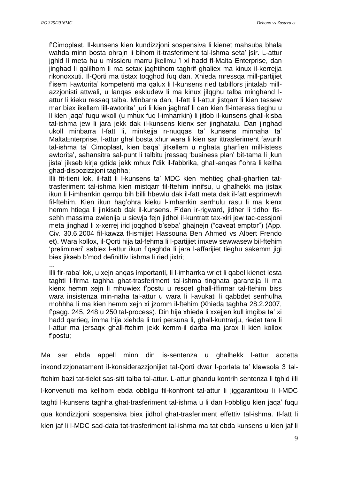f'Cimoplast. Il-kunsens kien kundizzjoni sospensiva li kienet mahsuba bhala wahda minn bosta ohrajn li bihom it-trasferiment tal-ishma seta' jsir. L-attur jghid li meta hu u missieru marru jkellmu 'l xi hadd fl-Malta Enterprise, dan jinghad li qalilhom li ma setax jaghtihom taghrif ghaliex ma kinux il-kerrejja rikonoxxuti. Il-Qorti ma tistax toqghod fuq dan. Xhieda mressqa mill-partijiet f'isem l-awtorita' kompetenti ma qalux li l-kunsens ried tabilfors jintalab millazzjonisti attwali, u lanqas eskludew li ma kinux jilqghu talba minghand lattur li kieku ressaq talba. Minbarra dan, il-fatt li l-attur jistqarr li kien tassew mar biex ikellem lill-awtorita' juri li kien jaghraf li dan kien fl-interess tieghu u li kien jaqa' fuqu wkoll (u mhux fuq l-imharrkin) li jitlob il-kunsens ghall-kisba tal-ishma jew li jara jekk dak il-kunsens kienx ser jinghatalu. Dan jinghad ukoll minbarra l-fatt li, minkejja n-nuqqas ta' kunsens minnaha ta' MaltaEnterprise, l-attur ghal bosta xhur wara li kien sar ittrasferiment favurih tal-ishma ta' Cimoplast, kien baqa' jitkellem u nghata gharfien mill-istess awtorita', sahansitra sal-punt li talbitu jressaq 'business plan' bit-tama li jkun jista' jikseb kirja gdida jekk mhux f'dik il-fabbrika, ghall-anqas f'ohra li kellha ghad-dispozizzjoni taghha;

Illi fit-tieni lok, il-fatt li l-kunsens ta' MDC kien mehtieg ghall-gharfien tattrasferiment tal-ishma kien mistqarr fil-ftehim innifsu, u ghalhekk ma jistax ikun li l-imharrkin qarrqu bih billi hbewlu dak il-fatt meta dak il-fatt esprimewh fil-ftehim. Kien ikun hag'ohra kieku l-imharrkin serrhulu rasu li ma kienx hemm htiega li jinkiseb dak il-kunsens. F'dan ir-rigward, jidher li tidhol fissehh massima ewlenija u siewja fejn jidhol il-kuntratt tax-xiri jew tac-cessjoni meta jinghad li x-xerrej irid joqghod b'seba' ghajnejn ("caveat emptor") (App. Civ. 30.6.2004 fil-kawza fl-ismijiet Hassouna Ben Ahmed vs Albert Frendo et). Wara kollox, il-Qorti hija tal-fehma li l-partijiet imxew sewwasew bil-ftehim 'preliminari' sabiex l-attur ikun f'qaghda li jara l-affarijiet tieghu sakemm jigi biex jikseb b'mod definittiv lishma li ried jixtri;

...

Illi fir-raba' lok, u xejn anqas importanti, li l-imharrka wriet li qabel kienet lesta taghti l-firma taghha ghat-trasferiment tal-ishma tinghata garanzija li ma kienx hemm xejn li mhuwiex f'postu u resqet ghall-iffirmar tal-ftehim biss wara insistenza min-naha tal-attur u wara li l-avukati li qabbdet serrhulha mohhha li ma kien hemm xejn xi jzomm il-ftehim (Xhieda taghha 28.2.2007, f'pagg. 245, 248 u 250 tal-process). Din hija xhieda li xxejjen kull imgiba ta' xi hadd qarrieq, imma hija xiehda li turi persuna li, ghall-kuntrarju, riedet tara li l-attur ma jersaqx ghall-ftehim jekk kemm-il darba ma jarax li kien kollox f'postu;

Ma sar ebda appell minn din is-sentenza u ghalhekk l-attur accetta inkondizzjonatament il-konsiderazzjonijiet tal-Qorti dwar l-portata ta' klawsola 3 talftehim bazi tat-tielet sas-sitt talba tal-attur. L-attur ghandu kontrih sentenza li tghid illi l-konvenuti ma kellhom ebda obbligu fil-konfront tal-attur li jiggarantixxu li l-MDC taghti l-kunsens taghha ghat-trasferiment tal-ishma u li dan l-obbligu kien jaqa' fuqu qua kondizzjoni sospensiva biex jidhol ghat-trasferiment effettiv tal-ishma. Il-fatt li kien jaf li l-MDC sad-data tat-trasferiment tal-ishma ma tat ebda kunsens u kien jaf li